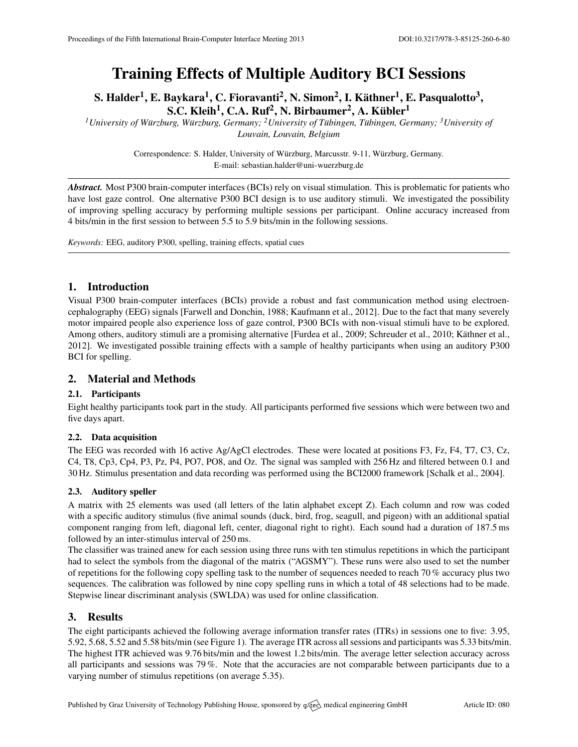# Training Effects of Multiple Auditory BCI Sessions

S. Halder $^{1}$ , E. Baykara $^{1}$ , C. Fioravanti $^{2}$ , N. Simon $^{2}$ , I. Käthner $^{1}$ , E. Pasqualotto $^{3},$ S.C. Kleih<sup>1</sup>, C.A. Ruf<sup>2</sup>, N. Birbaumer<sup>2</sup>, A. Kübler<sup>1</sup>

*<sup>1</sup>University of Wurzburg, W ¨ urzburg, Germany; ¨ <sup>2</sup>University of Tubingen, T ¨ ubingen, Germany; ¨ <sup>3</sup>University of Louvain, Louvain, Belgium*

> Correspondence: S. Halder, University of Würzburg, Marcusstr. 9-11, Würzburg, Germany. E-mail: [sebastian.halder@uni-wuerzburg.de](mailto:sebastian.halder@uni-wuerzburg.de)

*Abstract.* Most P300 brain-computer interfaces (BCIs) rely on visual stimulation. This is problematic for patients who have lost gaze control. One alternative P300 BCI design is to use auditory stimuli. We investigated the possibility of improving spelling accuracy by performing multiple sessions per participant. Online accuracy increased from 4 bits/min in the first session to between 5.5 to 5.9 bits/min in the following sessions.

*Keywords:* EEG, auditory P300, spelling, training effects, spatial cues

## 1. Introduction

Visual P300 brain-computer interfaces (BCIs) provide a robust and fast communication method using electroencephalography (EEG) signals [\[Farwell and Donchin,](#page-1-0) [1988;](#page-1-0) [Kaufmann et al.,](#page-1-1) [2012\]](#page-1-1). Due to the fact that many severely motor impaired people also experience loss of gaze control, P300 BCIs with non-visual stimuli have to be explored. Among others, auditory stimuli are a promising alternative [\[Furdea et al.,](#page-1-2) [2009;](#page-1-2) [Schreuder et al.,](#page-1-3) [2010;](#page-1-3) Käthner et al., [2012\]](#page-1-4). We investigated possible training effects with a sample of healthy participants when using an auditory P300 BCI for spelling.

## 2. Material and Methods

## 2.1. Participants

Eight healthy participants took part in the study. All participants performed five sessions which were between two and five days apart.

### 2.2. Data acquisition

The EEG was recorded with 16 active Ag/AgCl electrodes. These were located at positions F3, Fz, F4, T7, C3, Cz, C4, T8, Cp3, Cp4, P3, Pz, P4, PO7, PO8, and Oz. The signal was sampled with 256 Hz and filtered between 0.1 and 30 Hz. Stimulus presentation and data recording was performed using the BCI2000 framework [\[Schalk et al.,](#page-1-5) [2004\]](#page-1-5).

### 2.3. Auditory speller

A matrix with 25 elements was used (all letters of the latin alphabet except Z). Each column and row was coded with a specific auditory stimulus (five animal sounds (duck, bird, frog, seagull, and pigeon) with an additional spatial component ranging from left, diagonal left, center, diagonal right to right). Each sound had a duration of 187.5 ms followed by an inter-stimulus interval of 250 ms.

The classifier was trained anew for each session using three runs with ten stimulus repetitions in which the participant had to select the symbols from the diagonal of the matrix ("AGSMY"). These runs were also used to set the number of repetitions for the following copy spelling task to the number of sequences needed to reach 70 % accuracy plus two sequences. The calibration was followed by nine copy spelling runs in which a total of 48 selections had to be made. Stepwise linear discriminant analysis (SWLDA) was used for online classification.

## 3. Results

The eight participants achieved the following average information transfer rates (ITRs) in sessions one to five: 3.95, 5.92, 5.68, 5.52 and 5.58 bits/min (see Figure [1\)](#page-1-6). The average ITR across all sessions and participants was 5.33 bits/min. The highest ITR achieved was 9.76 bits/min and the lowest 1.2 bits/min. The average letter selection accuracy across all participants and sessions was 79 %. Note that the accuracies are not comparable between participants due to a varying number of stimulus repetitions (on average 5.35).